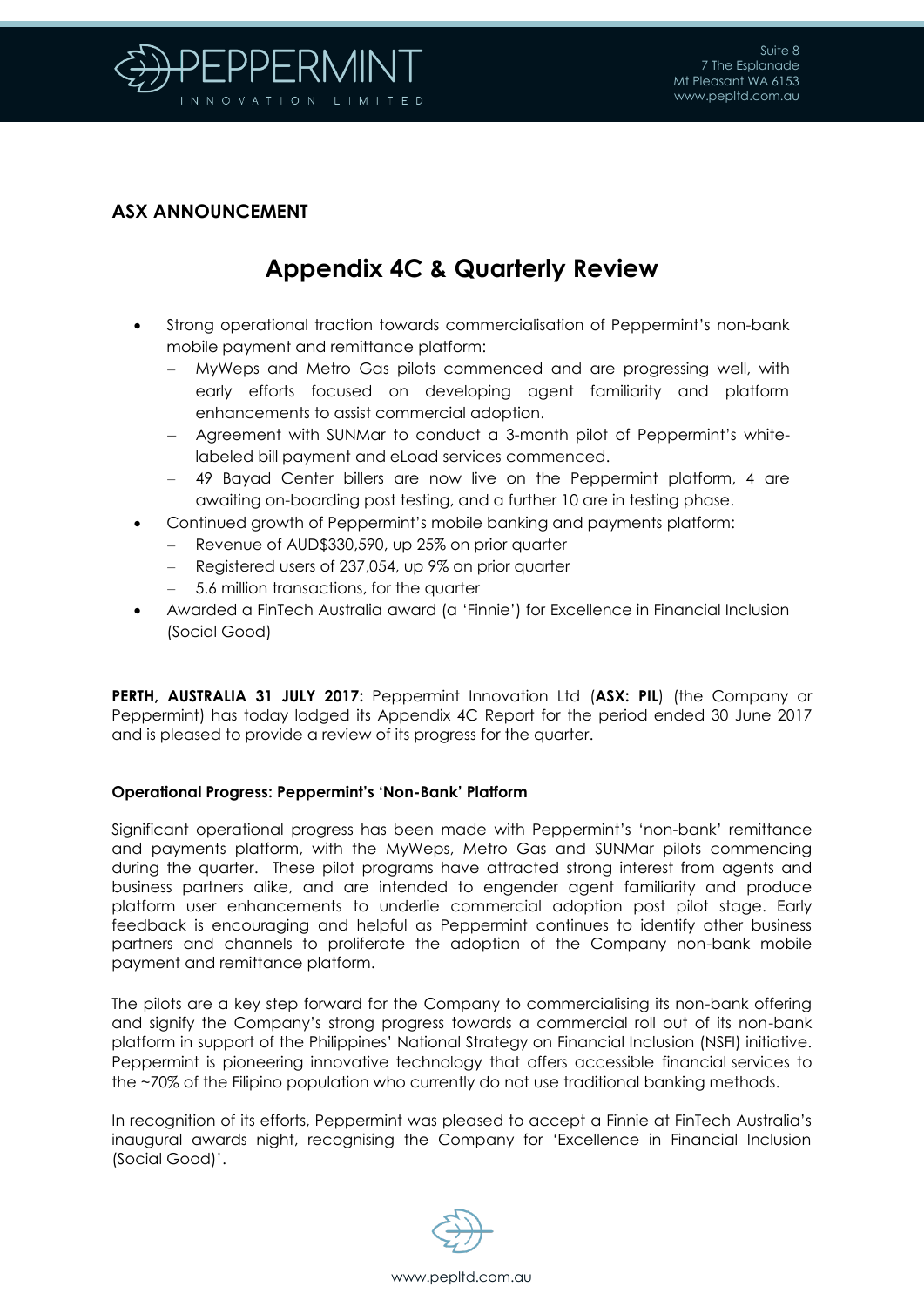

### **ASX ANNOUNCEMENT**

# **Appendix 4C & Quarterly Review**

- Strong operational traction towards commercialisation of Peppermint's non-bank mobile payment and remittance platform:
	- MyWeps and Metro Gas pilots commenced and are progressing well, with early efforts focused on developing agent familiarity and platform enhancements to assist commercial adoption.
	- Agreement with SUNMar to conduct a 3-month pilot of Peppermint's whitelabeled bill payment and eLoad services commenced.
	- 49 Bayad Center billers are now live on the Peppermint platform, 4 are awaiting on-boarding post testing, and a further 10 are in testing phase.
- Continued growth of Peppermint's mobile banking and payments platform:
	- Revenue of AUD\$330,590, up 25% on prior quarter
	- Registered users of 237,054, up 9% on prior quarter
	- 5.6 million transactions, for the quarter
- Awarded a FinTech Australia award (a 'Finnie') for Excellence in Financial Inclusion (Social Good)

**PERTH, AUSTRALIA 31 JULY 2017:** Peppermint Innovation Ltd (**ASX: PIL**) (the Company or Peppermint) has today lodged its Appendix 4C Report for the period ended 30 June 2017 and is pleased to provide a review of its progress for the quarter.

#### **Operational Progress: Peppermint's 'Non-Bank' Platform**

Significant operational progress has been made with Peppermint's 'non-bank' remittance and payments platform, with the MyWeps, Metro Gas and SUNMar pilots commencing during the quarter. These pilot programs have attracted strong interest from agents and business partners alike, and are intended to engender agent familiarity and produce platform user enhancements to underlie commercial adoption post pilot stage. Early feedback is encouraging and helpful as Peppermint continues to identify other business partners and channels to proliferate the adoption of the Company non-bank mobile payment and remittance platform.

The pilots are a key step forward for the Company to commercialising its non-bank offering and signify the Company's strong progress towards a commercial roll out of its non-bank platform in support of the Philippines' National Strategy on Financial Inclusion (NSFI) initiative. Peppermint is pioneering innovative technology that offers accessible financial services to the ~70% of the Filipino population who currently do not use traditional banking methods.

In recognition of its efforts, Peppermint was pleased to accept a Finnie at FinTech Australia's inaugural awards night, recognising the Company for 'Excellence in Financial Inclusion (Social Good)'.

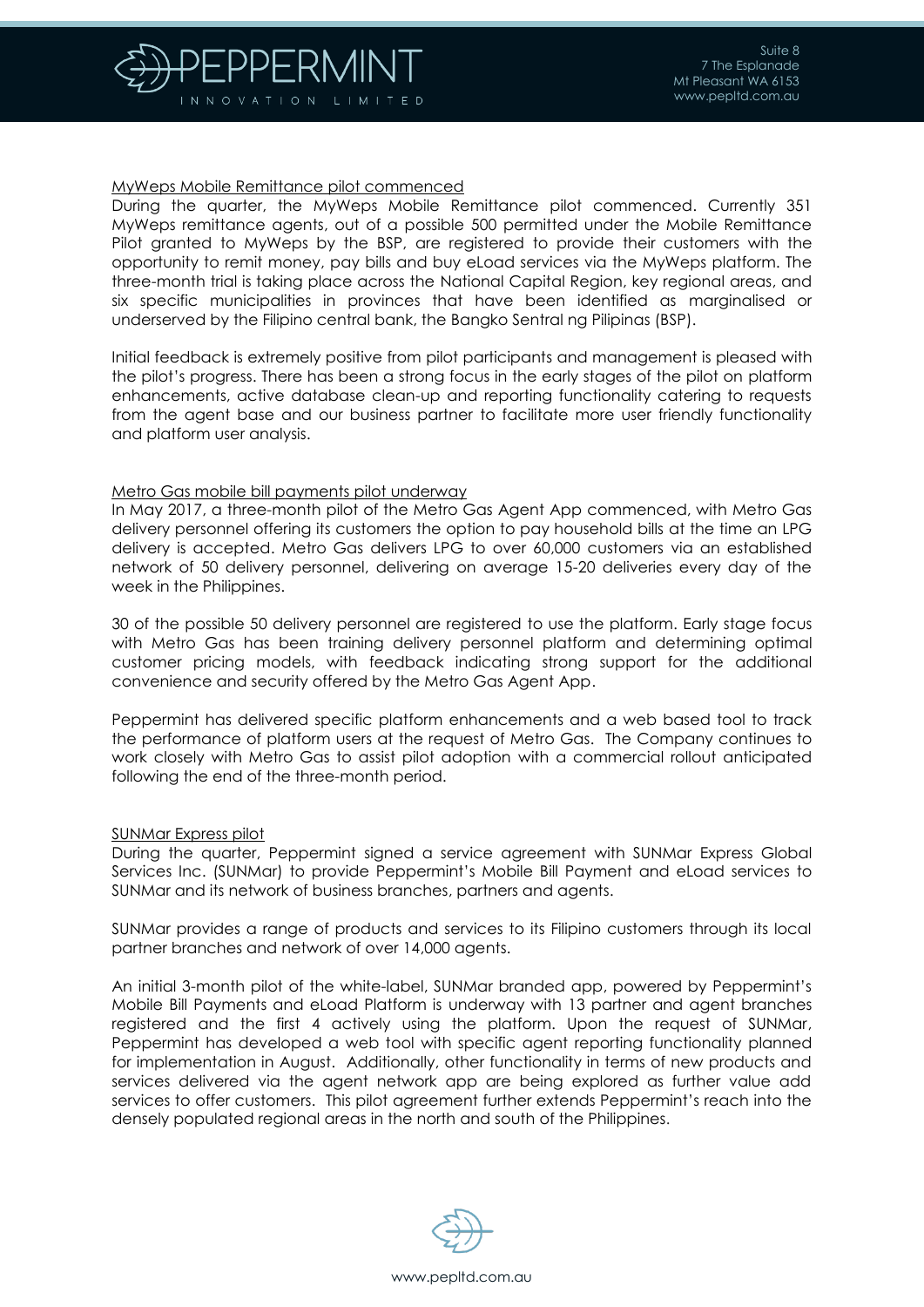

#### MyWeps Mobile Remittance pilot commenced

During the quarter, the MyWeps Mobile Remittance pilot commenced. Currently 351 MyWeps remittance agents, out of a possible 500 permitted under the Mobile Remittance Pilot granted to MyWeps by the BSP, are registered to provide their customers with the opportunity to remit money, pay bills and buy eLoad services via the MyWeps platform. The three-month trial is taking place across the National Capital Region, key regional areas, and six specific municipalities in provinces that have been identified as marginalised or underserved by the Filipino central bank, the Bangko Sentral ng Pilipinas (BSP).

Initial feedback is extremely positive from pilot participants and management is pleased with the pilot's progress. There has been a strong focus in the early stages of the pilot on platform enhancements, active database clean-up and reporting functionality catering to requests from the agent base and our business partner to facilitate more user friendly functionality and platform user analysis.

#### Metro Gas mobile bill payments pilot underway

In May 2017, a three-month pilot of the Metro Gas Agent App commenced, with Metro Gas delivery personnel offering its customers the option to pay household bills at the time an LPG delivery is accepted. Metro Gas delivers LPG to over 60,000 customers via an established network of 50 delivery personnel, delivering on average 15-20 deliveries every day of the week in the Philippines.

30 of the possible 50 delivery personnel are registered to use the platform. Early stage focus with Metro Gas has been training delivery personnel platform and determining optimal customer pricing models, with feedback indicating strong support for the additional convenience and security offered by the Metro Gas Agent App.

Peppermint has delivered specific platform enhancements and a web based tool to track the performance of platform users at the request of Metro Gas. The Company continues to work closely with Metro Gas to assist pilot adoption with a commercial rollout anticipated following the end of the three-month period.

#### SUNMar Express pilot

During the quarter, Peppermint signed a service agreement with SUNMar Express Global Services Inc. (SUNMar) to provide Peppermint's Mobile Bill Payment and eLoad services to SUNMar and its network of business branches, partners and agents.

SUNMar provides a range of products and services to its Filipino customers through its local partner branches and network of over 14,000 agents.

An initial 3-month pilot of the white-label, SUNMar branded app, powered by Peppermint's Mobile Bill Payments and eLoad Platform is underway with 13 partner and agent branches registered and the first 4 actively using the platform. Upon the request of SUNMar, Peppermint has developed a web tool with specific agent reporting functionality planned for implementation in August. Additionally, other functionality in terms of new products and services delivered via the agent network app are being explored as further value add services to offer customers. This pilot agreement further extends Peppermint's reach into the densely populated regional areas in the north and south of the Philippines.

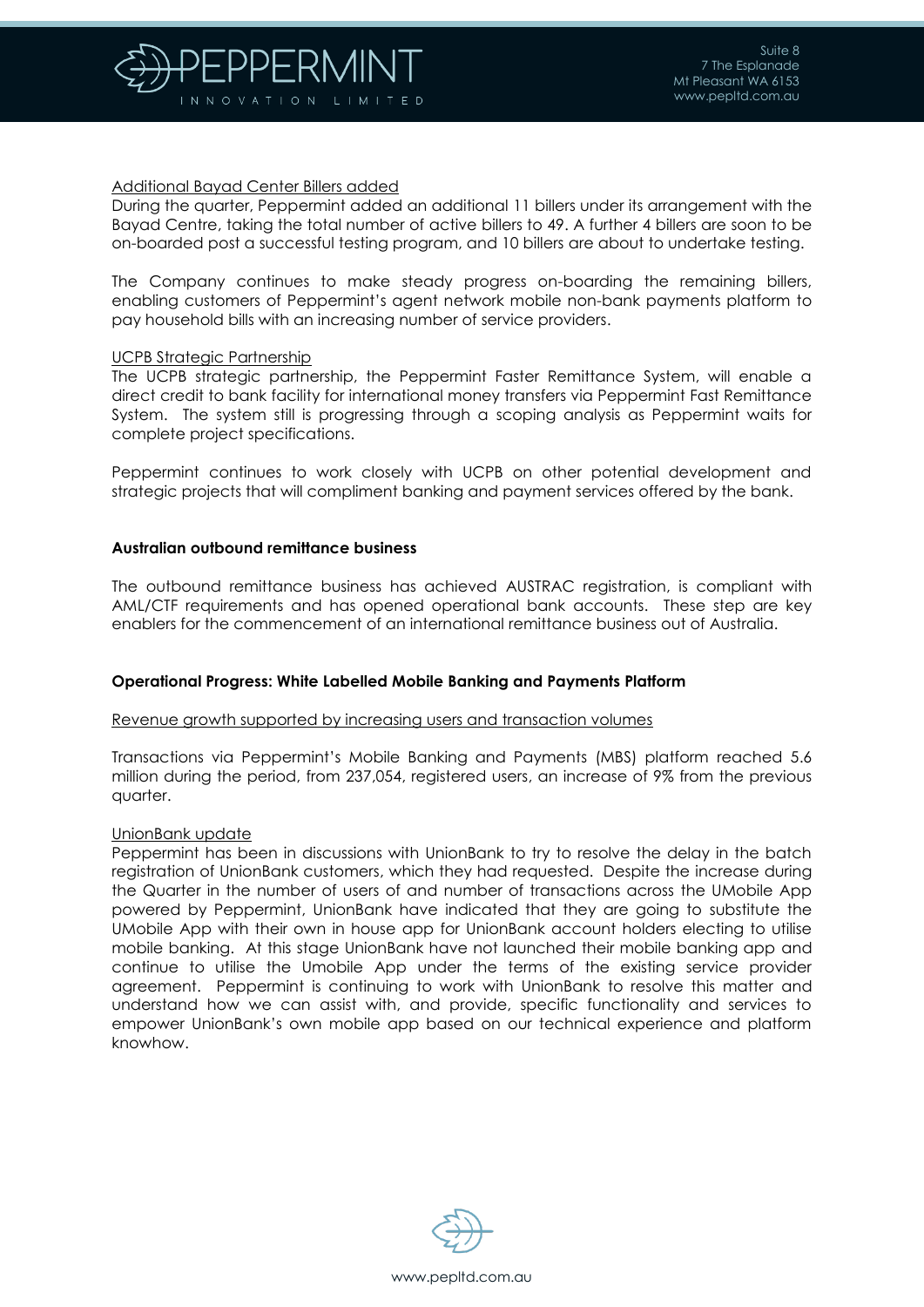

#### Additional Bayad Center Billers added

During the quarter, Peppermint added an additional 11 billers under its arrangement with the Bayad Centre, taking the total number of active billers to 49. A further 4 billers are soon to be on-boarded post a successful testing program, and 10 billers are about to undertake testing.

The Company continues to make steady progress on-boarding the remaining billers, enabling customers of Peppermint's agent network mobile non-bank payments platform to pay household bills with an increasing number of service providers.

#### UCPB Strategic Partnership

The UCPB strategic partnership, the Peppermint Faster Remittance System, will enable a direct credit to bank facility for international money transfers via Peppermint Fast Remittance System. The system still is progressing through a scoping analysis as Peppermint waits for complete project specifications.

Peppermint continues to work closely with UCPB on other potential development and strategic projects that will compliment banking and payment services offered by the bank.

#### **Australian outbound remittance business**

The outbound remittance business has achieved AUSTRAC registration, is compliant with AML/CTF requirements and has opened operational bank accounts. These step are key enablers for the commencement of an international remittance business out of Australia.

#### **Operational Progress: White Labelled Mobile Banking and Payments Platform**

#### Revenue growth supported by increasing users and transaction volumes

Transactions via Peppermint's Mobile Banking and Payments (MBS) platform reached 5.6 million during the period, from 237,054, registered users, an increase of 9% from the previous quarter.

#### UnionBank update

Peppermint has been in discussions with UnionBank to try to resolve the delay in the batch registration of UnionBank customers, which they had requested. Despite the increase during the Quarter in the number of users of and number of transactions across the UMobile App powered by Peppermint, UnionBank have indicated that they are going to substitute the UMobile App with their own in house app for UnionBank account holders electing to utilise mobile banking. At this stage UnionBank have not launched their mobile banking app and continue to utilise the Umobile App under the terms of the existing service provider agreement. Peppermint is continuing to work with UnionBank to resolve this matter and understand how we can assist with, and provide, specific functionality and services to empower UnionBank's own mobile app based on our technical experience and platform knowhow.

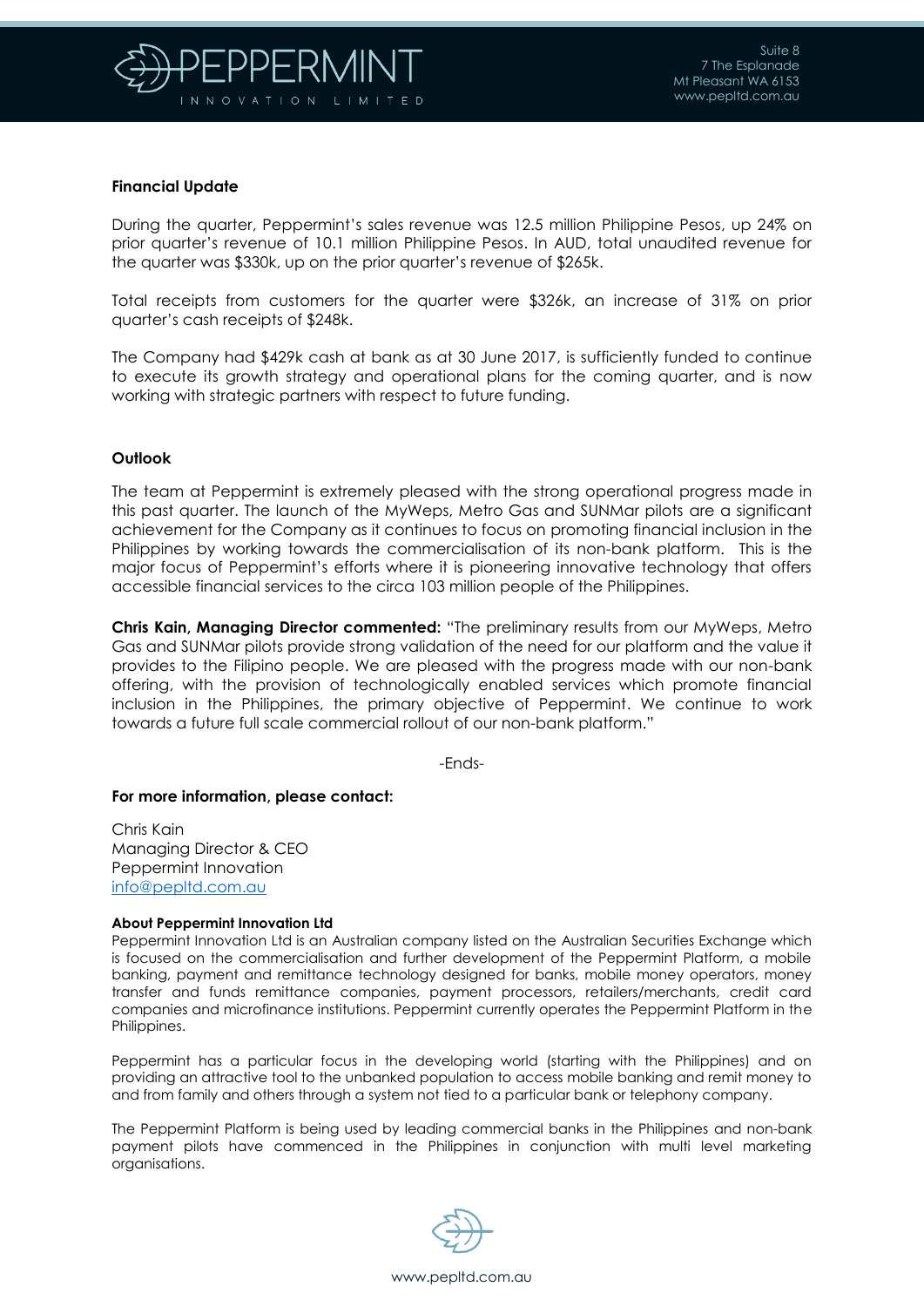

#### **Financial Update**

During the quarter, Peppermint's sales revenue was 12.5 million Philippine Pesos, up 24% on prior quarter's revenue of 10.1 million Philippine Pesos. In AUD, total unaudited revenue for the quarter was \$330k, up on the prior quarter's revenue of \$265k.

Total receipts from customers for the quarter were \$326k, an increase of 31% on prior quarter's cash receipts of \$248k.

The Company had \$429k cash at bank as at 30 June 2017, is sufficiently funded to continue to execute its growth strategy and operational plans for the coming quarter, and is now working with strategic partners with respect to future funding.

#### **Outlook**

The team at Peppermint is extremely pleased with the strong operational progress made in this past quarter. The launch of the MyWeps, Metro Gas and SUNMar pilots are a significant achievement for the Company as it continues to focus on promoting financial inclusion in the Philippines by working towards the commercialisation of its non-bank platform. This is the major focus of Peppermint's efforts where it is pioneering innovative technology that offers accessible financial services to the circa 103 million people of the Philippines.

**Chris Kain, Managing Director commented:** "The preliminary results from our MyWeps, Metro Gas and SUNMar pilots provide strong validation of the need for our platform and the value it provides to the Filipino people. We are pleased with the progress made with our non-bank offering, with the provision of technologically enabled services which promote financial inclusion in the Philippines, the primary objective of Peppermint. We continue to work towards a future full scale commercial rollout of our non-bank platform."

-Ends-

#### **For more information, please contact:**

Chris Kain Managing Director & CEO Peppermint Innovation [info@pepltd.com.au](mailto:info@pepltd.com.au)

#### **About Peppermint Innovation Ltd**

Peppermint Innovation Ltd is an Australian company listed on the Australian Securities Exchange which is focused on the commercialisation and further development of the Peppermint Platform, a mobile banking, payment and remittance technology designed for banks, mobile money operators, money transfer and funds remittance companies, payment processors, retailers/merchants, credit card companies and microfinance institutions. Peppermint currently operates the Peppermint Platform in the Philippines.

Peppermint has a particular focus in the developing world (starting with the Philippines) and on providing an attractive tool to the unbanked population to access mobile banking and remit money to and from family and others through a system not tied to a particular bank or telephony company.

The Peppermint Platform is being used by leading commercial banks in the Philippines and non-bank payment pilots have commenced in the Philippines in conjunction with multi level marketing organisations.

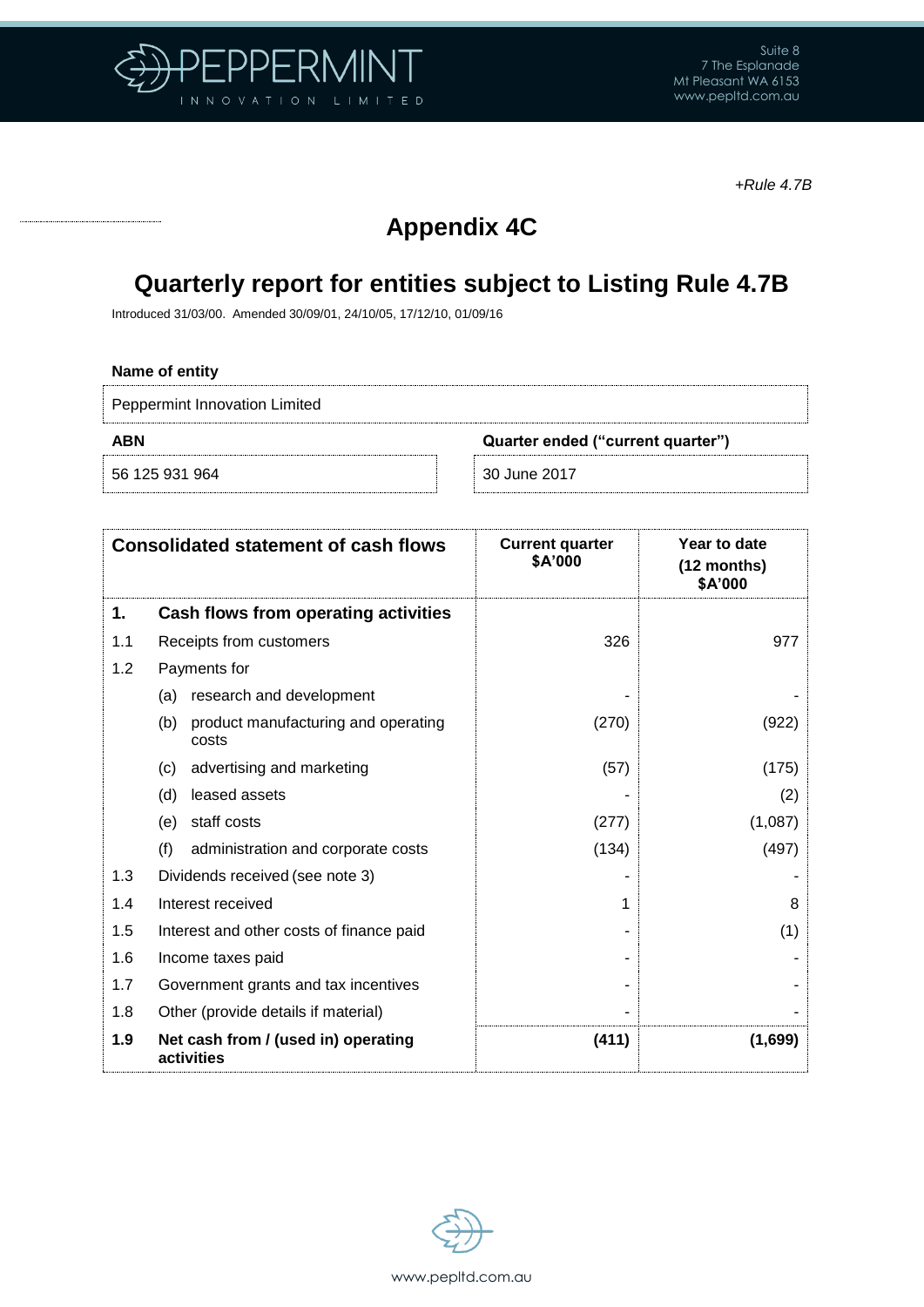

*+Rule 4.7B*

# **Appendix 4C**

### **Quarterly report for entities subject to Listing Rule 4.7B**

Introduced 31/03/00. Amended 30/09/01, 24/10/05, 17/12/10, 01/09/16

#### **Name of entity**

Peppermint Innovation Limited

56 125 931 964 30 June 2017

**ABN Quarter ended ("current quarter")**

|     | <b>Consolidated statement of cash flows</b>         | <b>Current quarter</b><br>\$A'000 | Year to date<br>(12 months)<br>\$A'000 |
|-----|-----------------------------------------------------|-----------------------------------|----------------------------------------|
| 1.  | Cash flows from operating activities                |                                   |                                        |
| 1.1 | Receipts from customers                             | 326                               | 977                                    |
| 1.2 | Payments for                                        |                                   |                                        |
|     | research and development<br>(a)                     |                                   |                                        |
|     | product manufacturing and operating<br>(b)<br>costs | (270)                             | (922)                                  |
|     | advertising and marketing<br>(C)                    | (57)                              | (175)                                  |
|     | leased assets<br>(d)                                |                                   | (2)                                    |
|     | staff costs<br>(e)                                  | (277)                             | (1,087)                                |
|     | (f)<br>administration and corporate costs           | (134)                             | (497)                                  |
| 1.3 | Dividends received (see note 3)                     |                                   |                                        |
| 1.4 | Interest received                                   |                                   | 8                                      |
| 1.5 | Interest and other costs of finance paid            |                                   | (1)                                    |
| 1.6 | Income taxes paid                                   |                                   |                                        |
| 1.7 | Government grants and tax incentives                |                                   |                                        |
| 1.8 | Other (provide details if material)                 |                                   |                                        |
| 1.9 | Net cash from / (used in) operating<br>activities   | (411)                             | (1,699)                                |

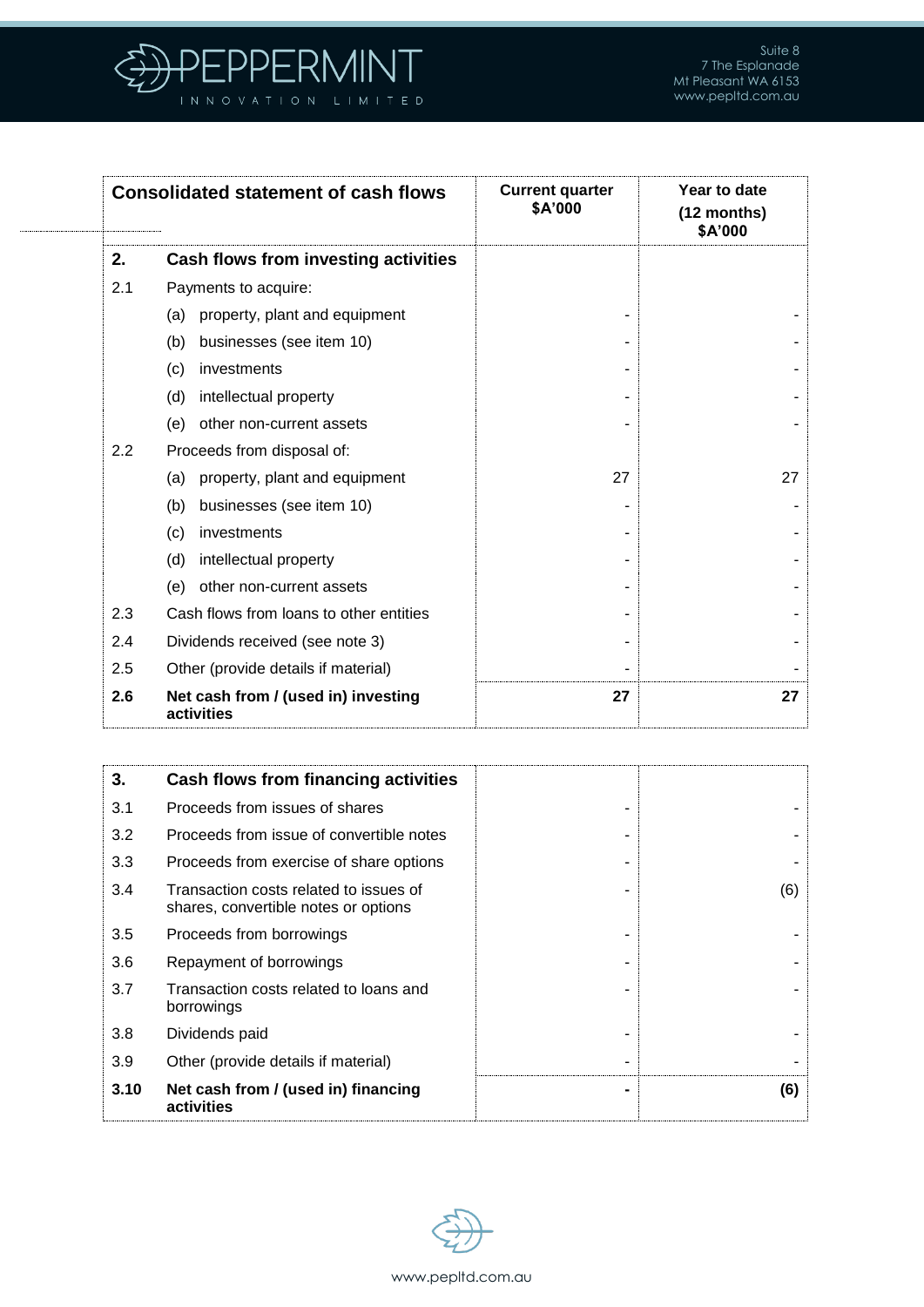

|     | <b>Consolidated statement of cash flows</b>       | <b>Current quarter</b><br>\$A'000 | Year to date<br>(12 months)<br>\$A'000 |
|-----|---------------------------------------------------|-----------------------------------|----------------------------------------|
| 2.  | Cash flows from investing activities              |                                   |                                        |
| 2.1 | Payments to acquire:                              |                                   |                                        |
|     | property, plant and equipment<br>(a)              |                                   |                                        |
|     | businesses (see item 10)<br>(b)                   |                                   |                                        |
|     | investments<br>(c)                                |                                   |                                        |
|     | intellectual property<br>(d)                      |                                   |                                        |
|     | other non-current assets<br>(e)                   |                                   |                                        |
| 2.2 | Proceeds from disposal of:                        |                                   |                                        |
|     | property, plant and equipment<br>(a)              | 27                                | 27                                     |
|     | businesses (see item 10)<br>(b)                   |                                   |                                        |
|     | investments<br>(c)                                |                                   |                                        |
|     | intellectual property<br>(d)                      |                                   |                                        |
|     | other non-current assets<br>(e)                   |                                   |                                        |
| 2.3 | Cash flows from loans to other entities           |                                   |                                        |
| 2.4 | Dividends received (see note 3)                   |                                   |                                        |
| 2.5 | Other (provide details if material)               |                                   |                                        |
| 2.6 | Net cash from / (used in) investing<br>activities | 27                                | 27                                     |

| 3.   | Cash flows from financing activities                                           |     |
|------|--------------------------------------------------------------------------------|-----|
| 3.1  | Proceeds from issues of shares                                                 |     |
| 3.2  | Proceeds from issue of convertible notes                                       |     |
| 3.3  | Proceeds from exercise of share options                                        |     |
| 3.4  | Transaction costs related to issues of<br>shares, convertible notes or options | (6) |
| 3.5  | Proceeds from borrowings                                                       |     |
| 3.6  | Repayment of borrowings                                                        |     |
| 3.7  | Transaction costs related to loans and<br>borrowings                           |     |
| 3.8  | Dividends paid                                                                 |     |
| 3.9  | Other (provide details if material)                                            |     |
| 3.10 | Net cash from / (used in) financing<br>activities                              | (6) |

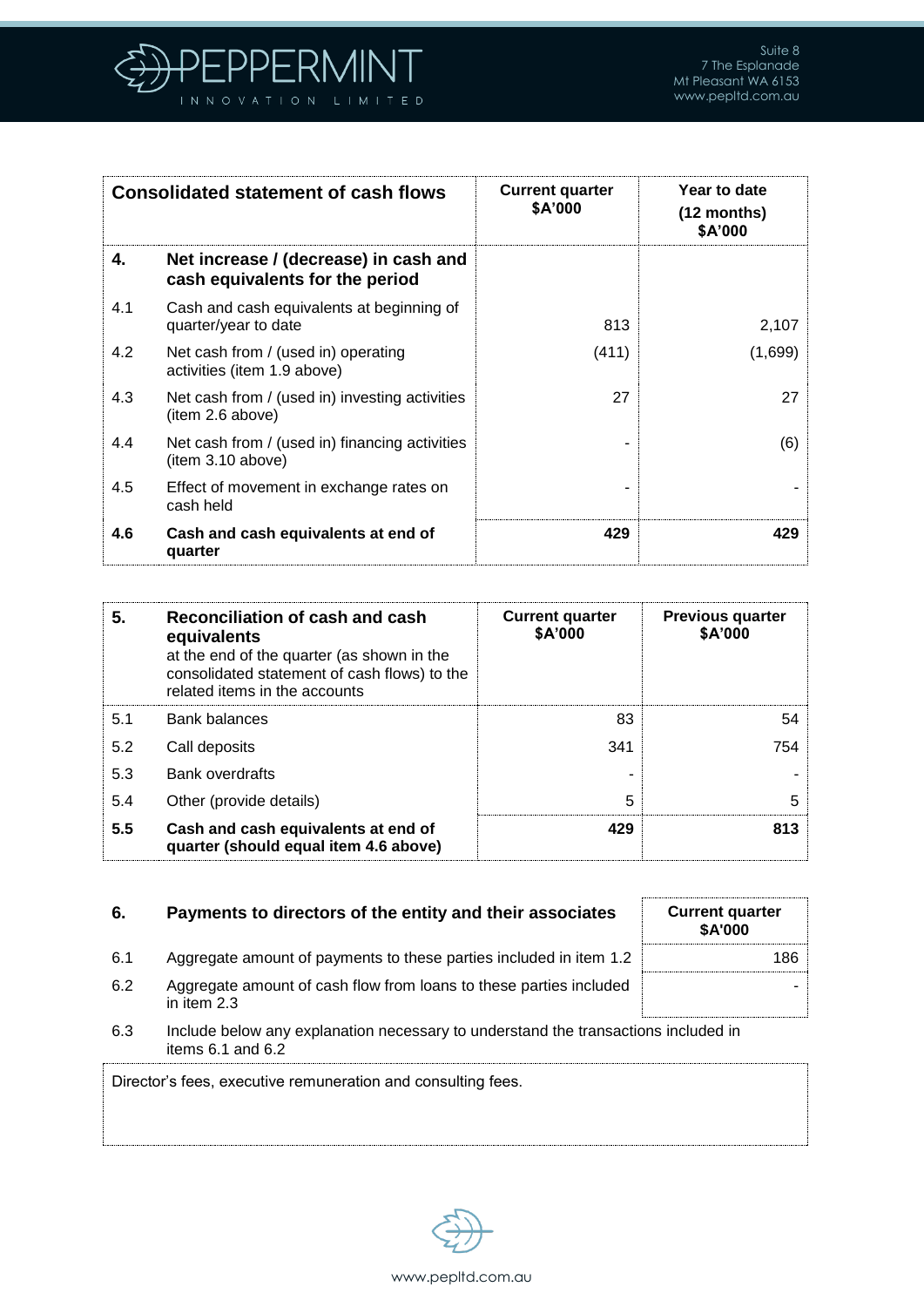

|     | <b>Consolidated statement of cash flows</b>                              | <b>Current quarter</b><br><b>\$A'000</b> | Year to date<br>$(12 \text{ months})$<br>\$A'000 |
|-----|--------------------------------------------------------------------------|------------------------------------------|--------------------------------------------------|
| 4.  | Net increase / (decrease) in cash and<br>cash equivalents for the period |                                          |                                                  |
| 4.1 | Cash and cash equivalents at beginning of<br>quarter/year to date        | 813                                      | 2,107                                            |
| 4.2 | Net cash from / (used in) operating<br>activities (item 1.9 above)       | (411)                                    | (1,699)                                          |
| 4.3 | Net cash from / (used in) investing activities<br>(item 2.6 above)       | 27                                       | 27                                               |
| 4.4 | Net cash from / (used in) financing activities<br>(item 3.10 above)      |                                          | (6)                                              |
| 4.5 | Effect of movement in exchange rates on<br>cash held                     |                                          |                                                  |
| 4.6 | Cash and cash equivalents at end of<br>quarter                           | 429                                      | 429                                              |

| 5.  | Reconciliation of cash and cash<br>equivalents<br>at the end of the quarter (as shown in the<br>consolidated statement of cash flows) to the<br>related items in the accounts | <b>Current quarter</b><br>\$A'000 | <b>Previous quarter</b><br>\$A'000 |
|-----|-------------------------------------------------------------------------------------------------------------------------------------------------------------------------------|-----------------------------------|------------------------------------|
| 5.1 | <b>Bank balances</b>                                                                                                                                                          | 83                                | 54                                 |
| 5.2 | Call deposits                                                                                                                                                                 | 341                               | 754                                |
| 5.3 | <b>Bank overdrafts</b>                                                                                                                                                        |                                   |                                    |
| 5.4 | Other (provide details)                                                                                                                                                       | 5                                 | 5                                  |
| 5.5 | Cash and cash equivalents at end of<br>quarter (should equal item 4.6 above)                                                                                                  | 429                               | 813                                |

### **6.** Payments to directors of the entity and their associates

- 6.1 Aggregate amount of payments to these parties included in item 1.2
- 6.2 Aggregate amount of cash flow from loans to these parties included in item 2.3
- 6.3 Include below any explanation necessary to understand the transactions included in items  $6.1$  and  $6.2$

Director's fees, executive remuneration and consulting fees.



| <b>Current quarter</b><br>\$A'000 |  |
|-----------------------------------|--|
| 186                               |  |
|                                   |  |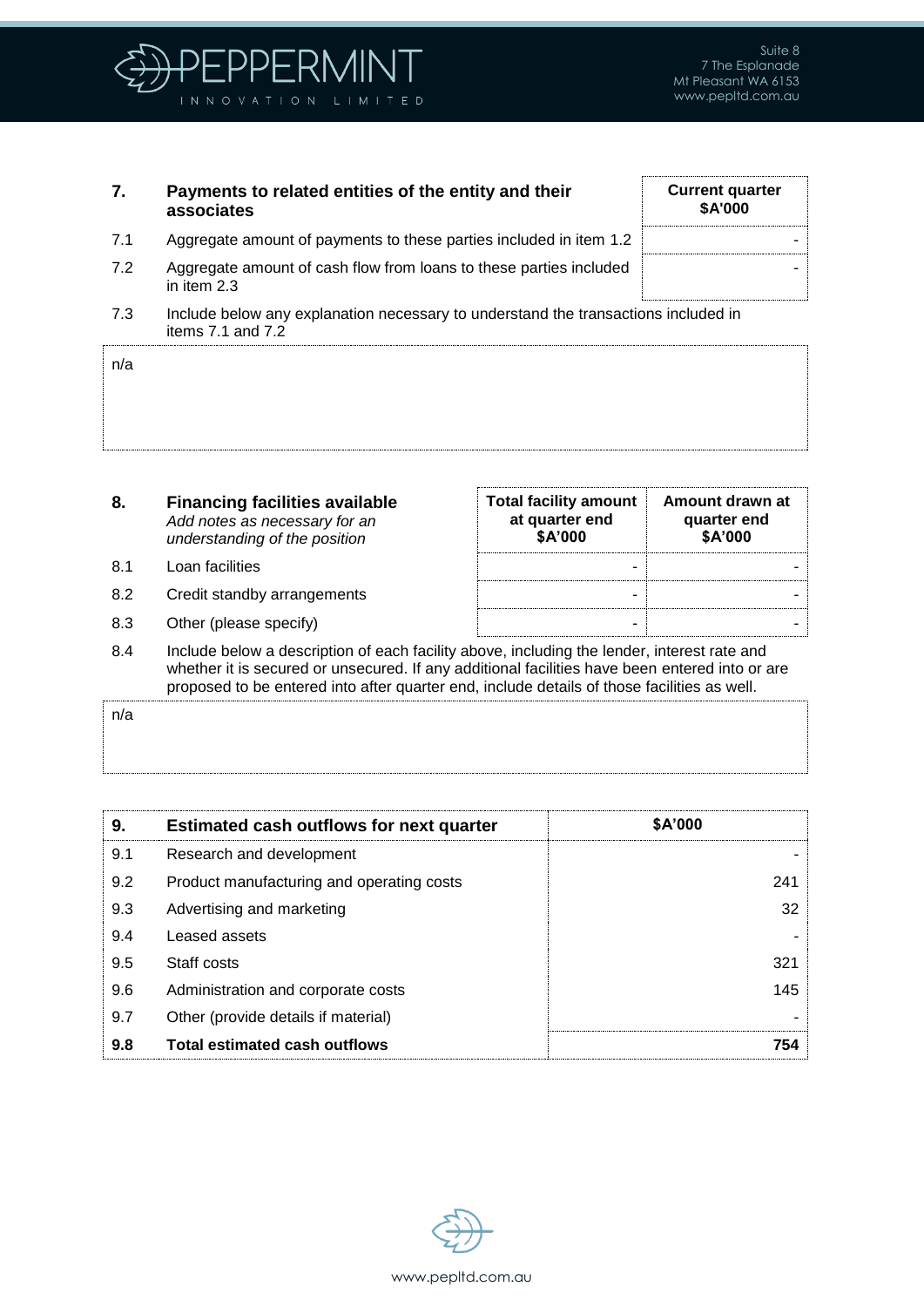

| 7.  | Payments to related entities of the entity and their<br>associates                                          | <b>Current quarter</b><br><b>\$A'000</b> |
|-----|-------------------------------------------------------------------------------------------------------------|------------------------------------------|
| 7.1 | Aggregate amount of payments to these parties included in item 1.2                                          |                                          |
| 7.2 | Aggregate amount of cash flow from loans to these parties included<br>in item 2.3                           |                                          |
| 7.3 | Include below any explanation necessary to understand the transactions included in<br>items $7.1$ and $7.2$ |                                          |

| 8.  | <b>Financing facilities available</b><br>Add notes as necessary for an<br>understanding of the position | <b>Total facility amount</b><br>at quarter end<br>\$A'000 | Amount drawn at<br>quarter end<br>\$A'000 |
|-----|---------------------------------------------------------------------------------------------------------|-----------------------------------------------------------|-------------------------------------------|
| 8.1 | Loan facilities                                                                                         |                                                           |                                           |
| 8.2 | Credit standby arrangements                                                                             | -                                                         |                                           |
| 8.3 | Other (please specify)                                                                                  | -                                                         |                                           |

8.4 Include below a description of each facility above, including the lender, interest rate and whether it is secured or unsecured. If any additional facilities have been entered into or are proposed to be entered into after quarter end, include details of those facilities as well.

n/a

n/a

| 9.  | <b>Estimated cash outflows for next quarter</b> | \$A'000 |
|-----|-------------------------------------------------|---------|
| 9.1 | Research and development                        |         |
| 9.2 | Product manufacturing and operating costs       | 241     |
| 9.3 | Advertising and marketing                       | 32      |
| 9.4 | Leased assets                                   |         |
| 9.5 | Staff costs                                     | 321     |
| 9.6 | Administration and corporate costs              | 145     |
| 9.7 | Other (provide details if material)             |         |
| 9.8 | <b>Total estimated cash outflows</b>            | 754     |